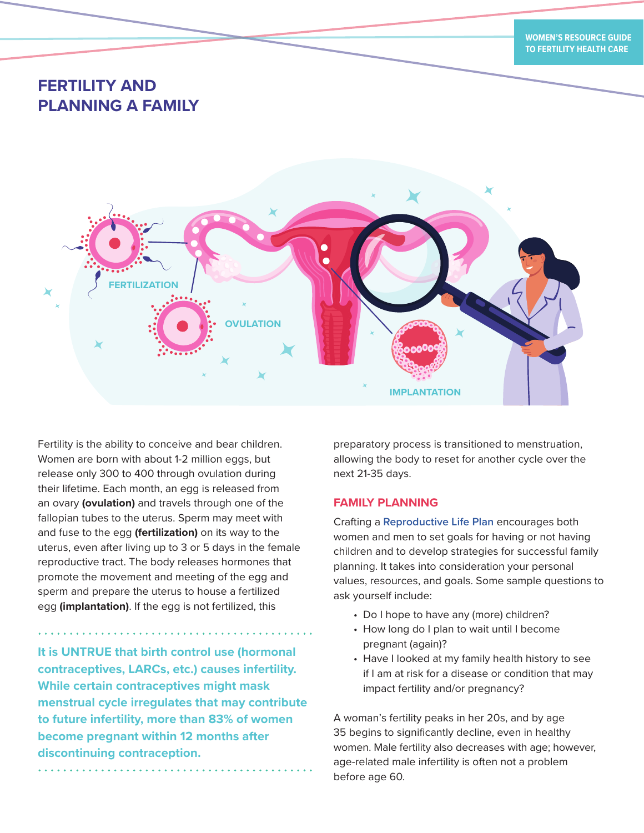# **FERTILITY AND PLANNING A FAMILY**



Fertility is the ability to conceive and bear children. Women are born with about 1-2 million eggs, but release only 300 to 400 through ovulation during their lifetime. Each month, an egg is released from an ovary **(ovulation)** and travels through one of the fallopian tubes to the uterus. Sperm may meet with and fuse to the egg **(fertilization)** on its way to the uterus, even after living up to 3 or 5 days in the female reproductive tract. The body releases hormones that promote the movement and meeting of the egg and sperm and prepare the uterus to house a fertilized egg **(implantation)**. If the egg is not fertilized, this

**It is UNTRUE that birth control use (hormonal contraceptives, LARCs, etc.) causes infertility. While certain contraceptives might mask menstrual cycle irregulates that may contribute to future infertility, more than 83% of women become pregnant within 12 months after discontinuing contraception.**

preparatory process is transitioned to menstruation, allowing the body to reset for another cycle over the next 21-35 days.

### **FAMILY PLANNING**

Crafting a **[Reproductive Life Plan](https://www.cdc.gov/preconception/planning.html)** encourages both women and men to set goals for having or not having children and to develop strategies for successful family planning. It takes into consideration your personal values, resources, and goals. Some sample questions to ask yourself include:

- Do I hope to have any (more) children?
- How long do I plan to wait until I become pregnant (again)?
- Have I looked at my family health history to see if I am at risk for a disease or condition that may impact fertility and/or pregnancy?

A woman's fertility peaks in her 20s, and by age 35 begins to significantly decline, even in healthy women. Male fertility also decreases with age; however, age-related male infertility is often not a problem before age 60.